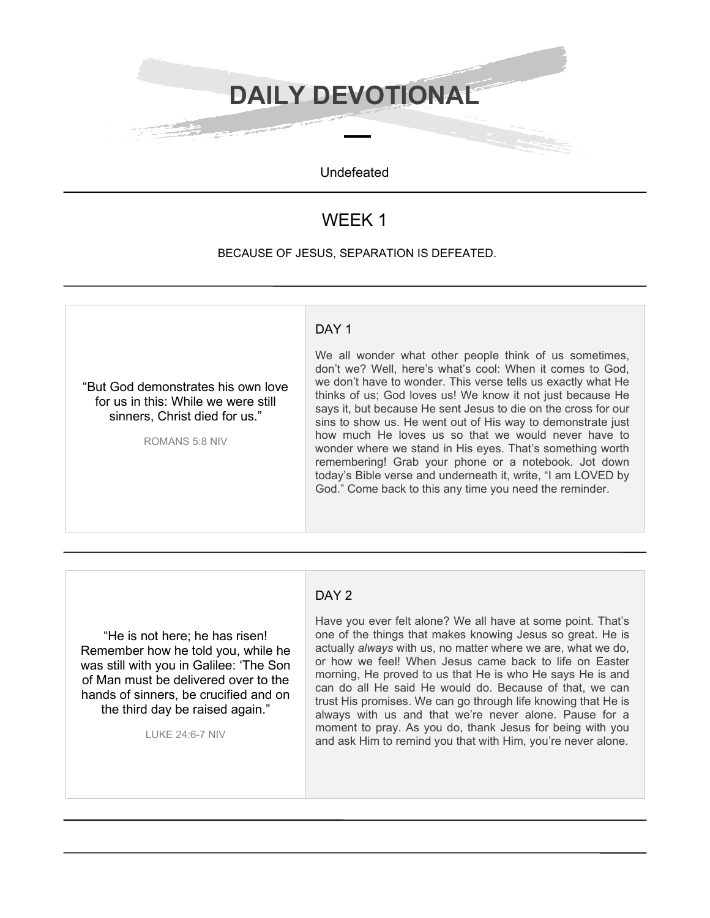**DAILY DEVOTIONAL**

Undefeated

# WEEK 1

#### BECAUSE OF JESUS, SEPARATION IS DEFEATED.



## DAY<sub>2</sub>

"He is not here; he has risen! Remember how he told you, while he was still with you in Galilee: 'The Son of Man must be delivered over to the hands of sinners, be crucified and on the third day be raised again."

LUKE 24:6-7 NIV

Have you ever felt alone? We all have at some point. That's one of the things that makes knowing Jesus so great. He is actually *always* with us, no matter where we are, what we do, or how we feel! When Jesus came back to life on Easter morning, He proved to us that He is who He says He is and can do all He said He would do. Because of that, we can trust His promises. We can go through life knowing that He is always with us and that we're never alone. Pause for a moment to pray. As you do, thank Jesus for being with you and ask Him to remind you that with Him, you're never alone.